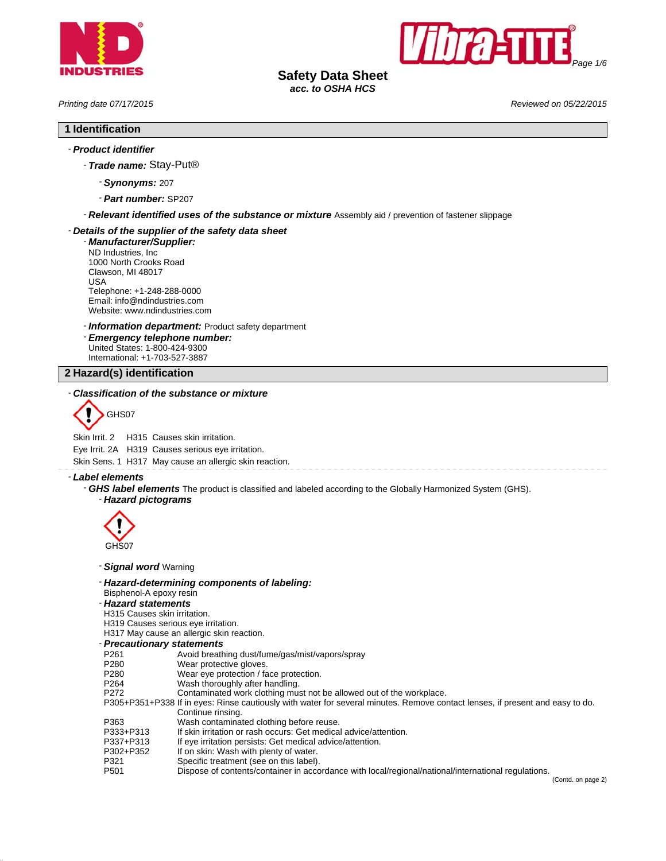



**Safety Data Sheet** *acc. to OSHA HCS*

*Printing date 07/17/2015 Reviewed on 05/22/2015*

### **1 Identification**

### - *Product identifier*

- *Trade name:* Stay-Put®

- *Synonyms:* 207
- *Part number:* SP207

- *Relevant identified uses of the substance or mixture* Assembly aid / prevention of fastener slippage

### - *Details of the supplier of the safety data sheet*

- *Manufacturer/Supplier:* ND Industries, Inc 1000 North Crooks Road Clawson, MI 48017 USA Telephone: +1-248-288-0000 Email: info@ndindustries.com Website: www.ndindustries.com

- *Information department:* Product safety department

- *Emergency telephone number:* United States: 1-800-424-9300 International: +1-703-527-3887

**2 Hazard(s) identification**

### - *Classification of the substance or mixture*



Skin Irrit. 2 H315 Causes skin irritation.

Eye Irrit. 2A H319 Causes serious eye irritation.

Skin Sens. 1 H317 May cause an allergic skin reaction.

- *Label elements*

- *GHS label elements* The product is classified and labeled according to the Globally Harmonized System (GHS). - *Hazard pictograms*



- *Signal word* Warning

### - *Hazard-determining components of labeling:*

### Bisphenol-A epoxy resin

# - *Hazard statements*

H315 Causes skin irritation.

H319 Causes serious eye irritation.

H317 May cause an allergic skin reaction.

# - *Precautionary statements*

- P261 Avoid breathing dust/fume/gas/mist/vapors/spray<br>P280 Wear protective gloves.
- P280 Wear protective gloves.<br>P280 Wear eye protection / fa
- P280 Wear eye protection / face protection.<br>P264 Wash thoroughly after handling.
- Wash thoroughly after handling.
- P272 Contaminated work clothing must not be allowed out of the workplace.

P305+P351+P338 If in eyes: Rinse cautiously with water for several minutes. Remove contact lenses, if present and easy to do. Continue rinsing.

- P363 Wash contaminated clothing before reuse.<br>P333+P313 If skin irritation or rash occurs: Get medica
- If skin irritation or rash occurs: Get medical advice/attention.
- P337+P313 If eye irritation persists: Get medical advice/attention.<br>P302+P352 If on skin: Wash with plenty of water.
- P302+P352 If on skin: Wash with plenty of water.<br>P321 Specific treatment (see on this label)
- P321 Specific treatment (see on this label).<br>P501 Dispose of contents/container in acco Dispose of contents/container in accordance with local/regional/national/international regulations.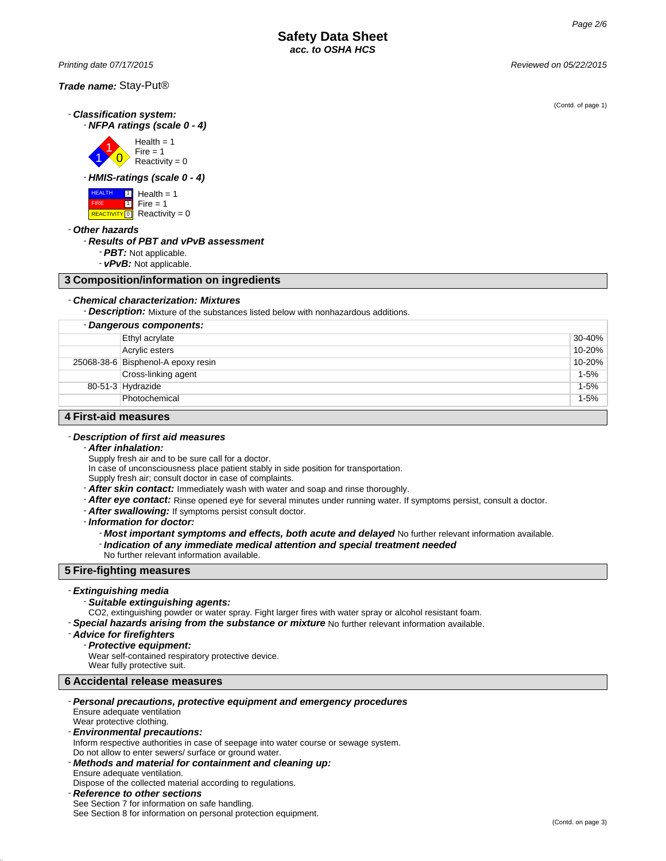*Printing date 07/17/2015 Reviewed on 05/22/2015*

- *Classification system:* - *NFPA ratings (scale 0 - 4)*



- *HMIS-ratings (scale 0 - 4)*



- *Other hazards*

### - *Results of PBT and vPvB assessment*

- *PBT:* Not applicable.

- *vPvB:* Not applicable.

# **3 Composition/information on ingredients**

### - *Chemical characterization: Mixtures*

- *Description:* Mixture of the substances listed below with nonhazardous additions.

| - Dangerous components: |                                    |          |
|-------------------------|------------------------------------|----------|
|                         | Ethyl acrylate                     | 30-40%   |
|                         | Acrylic esters                     | 10-20%   |
|                         | 25068-38-6 Bisphenol-A epoxy resin | 10-20%   |
|                         | Cross-linking agent                | $1-5%$   |
|                         | $80-51-3$ Hydrazide                | $1 - 5%$ |
|                         | Photochemical                      | $1 - 5%$ |
| A Firet-aid moneures    |                                    |          |

### **4 First-aid measures**

# - *Description of first aid measures*

### - *After inhalation:*

Supply fresh air and to be sure call for a doctor.

- In case of unconsciousness place patient stably in side position for transportation.
- Supply fresh air; consult doctor in case of complaints.
- *After skin contact:* Immediately wash with water and soap and rinse thoroughly.
- *After eye contact:* Rinse opened eye for several minutes under running water. If symptoms persist, consult a doctor.
- *After swallowing:* If symptoms persist consult doctor.

- *Information for doctor:*

- Most important symptoms and effects, both acute and delayed No further relevant information available.
- *Indication of any immediate medical attention and special treatment needed*
- No further relevant information available.

# **5 Fire-fighting measures**

### - *Extinguishing media*

### - *Suitable extinguishing agents:*

- CO2, extinguishing powder or water spray. Fight larger fires with water spray or alcohol resistant foam.
- *Special hazards arising from the substance or mixture* No further relevant information available.

### - *Advice for firefighters*

## - *Protective equipment:*

Wear self-contained respiratory protective device.

Wear fully protective suit.

# **6 Accidental release measures**

| - Personal precautions, protective equipment and emergency procedures                |
|--------------------------------------------------------------------------------------|
| Ensure adequate ventilation                                                          |
| Wear protective clothing.                                                            |
| - Environmental precautions:                                                         |
| Inform respective authorities in case of seepage into water course or sewage system. |
| Do not allow to enter sewers/ surface or ground water.                               |
| - Methods and material for containment and cleaning up:                              |

Ensure adequate ventilation. Dispose of the collected material according to regulations.

### - *Reference to other sections*

See Section 7 for information on safe handling. See Section 8 for information on personal protection equipment. (Contd. of page 1)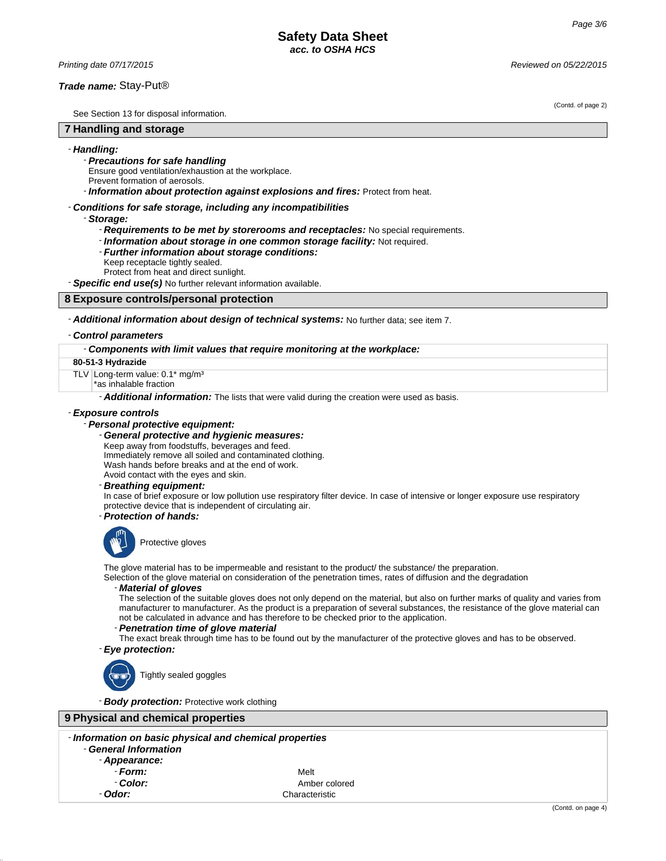*Printing date 07/17/2015 Reviewed on 05/22/2015*

### *Trade name:* Stay-Put®

See Section 13 for disposal information.

# **7 Handling and storage**

### - *Handling:*

- *Precautions for safe handling*
- Ensure good ventilation/exhaustion at the workplace.
- Prevent formation of aerosols.

- *Information about protection against explosions and fires:* Protect from heat.

### - *Conditions for safe storage, including any incompatibilities*

- *Storage:*

- *Requirements to be met by storerooms and receptacles:* No special requirements.
- *Information about storage in one common storage facility:* Not required.
- *Further information about storage conditions:* Keep receptacle tightly sealed.
- Protect from heat and direct sunlight.

- *Specific end use(s)* No further relevant information available.

# **8 Exposure controls/personal protection**

### - *Additional information about design of technical systems:* No further data; see item 7.

### - *Control parameters*

### - *Components with limit values that require monitoring at the workplace:*

**80-51-3 Hydrazide**

TLV Long-term value: 0.1\* mg/m<sup>3</sup>

\*as inhalable fraction

- *Additional information:* The lists that were valid during the creation were used as basis.

### - *Exposure controls*

### - *Personal protective equipment:*

- *General protective and hygienic measures:*

Keep away from foodstuffs, beverages and feed.

Immediately remove all soiled and contaminated clothing. Wash hands before breaks and at the end of work.

Avoid contact with the eyes and skin.

# - *Breathing equipment:*

In case of brief exposure or low pollution use respiratory filter device. In case of intensive or longer exposure use respiratory protective device that is independent of circulating air.

- *Protection of hands:*



Protective gloves

The glove material has to be impermeable and resistant to the product/ the substance/ the preparation.

Selection of the glove material on consideration of the penetration times, rates of diffusion and the degradation

### - *Material of gloves*

The selection of the suitable gloves does not only depend on the material, but also on further marks of quality and varies from manufacturer to manufacturer. As the product is a preparation of several substances, the resistance of the glove material can not be calculated in advance and has therefore to be checked prior to the application.

### - *Penetration time of glove material*

The exact break through time has to be found out by the manufacturer of the protective gloves and has to be observed. - *Eye protection:*



Tightly sealed goggles

- *Body protection:* Protective work clothing

# **9 Physical and chemical properties**

|                       | - Information on basic physical and chemical properties |  |
|-----------------------|---------------------------------------------------------|--|
| - General Information |                                                         |  |

- *Appearance:*
- *Form:* Melt
- 

**Color:** Amber colored - *Odor:* Characteristic

### (Contd. of page 2)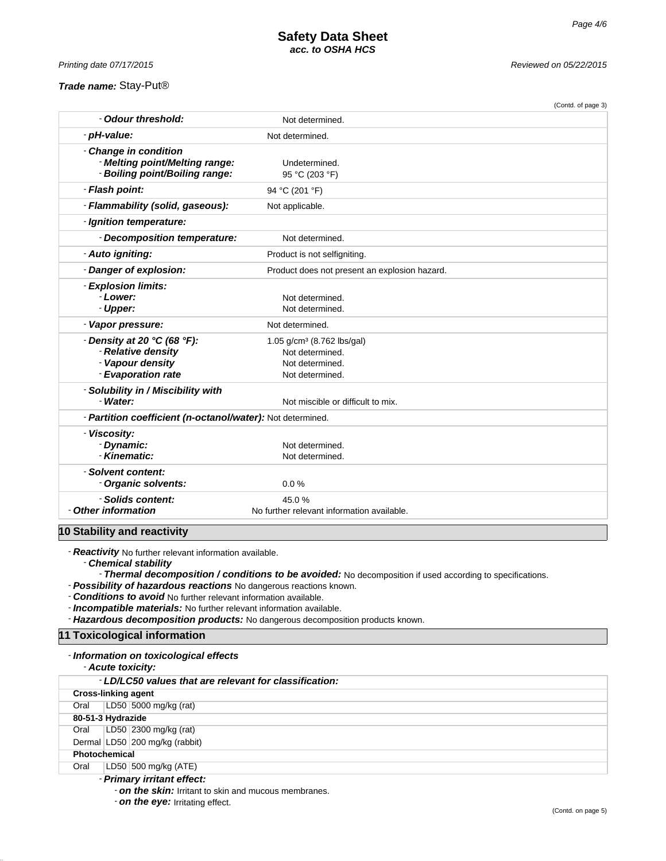*Printing date 07/17/2015 Reviewed on 05/22/2015*

# *Trade name:* Stay-Put®

|                                                                                                                     |                                                                                                 | (Contd. of page 3) |
|---------------------------------------------------------------------------------------------------------------------|-------------------------------------------------------------------------------------------------|--------------------|
| - Odour threshold:                                                                                                  | Not determined.                                                                                 |                    |
| - pH-value:                                                                                                         | Not determined.                                                                                 |                    |
| - Change in condition<br>- Melting point/Melting range:<br>- Boiling point/Boiling range:                           | Undetermined.<br>95 °C (203 °F)                                                                 |                    |
| - Flash point:                                                                                                      | 94 °C (201 °F)                                                                                  |                    |
| - Flammability (solid, gaseous):                                                                                    | Not applicable.                                                                                 |                    |
| - Ignition temperature:                                                                                             |                                                                                                 |                    |
| - Decomposition temperature:                                                                                        | Not determined.                                                                                 |                    |
| - Auto igniting:                                                                                                    | Product is not selfigniting.                                                                    |                    |
| - Danger of explosion:                                                                                              | Product does not present an explosion hazard.                                                   |                    |
| - Explosion limits:<br>- Lower:<br>- Upper:                                                                         | Not determined.<br>Not determined.                                                              |                    |
| - Vapor pressure:                                                                                                   | Not determined.                                                                                 |                    |
| $\cdot$ Density at 20 $\degree$ C (68 $\degree$ F):<br>- Relative density<br>- Vapour density<br>- Evaporation rate | 1.05 g/cm <sup>3</sup> (8.762 lbs/gal)<br>Not determined.<br>Not determined.<br>Not determined. |                    |
| - Solubility in / Miscibility with<br>- Water:                                                                      | Not miscible or difficult to mix.                                                               |                    |
| - Partition coefficient (n-octanol/water): Not determined.                                                          |                                                                                                 |                    |
| - Viscosity:<br>- Dynamic:<br>- Kinematic:                                                                          | Not determined.<br>Not determined.                                                              |                    |
| - Solvent content:<br>- Organic solvents:                                                                           | 0.0%                                                                                            |                    |
| - Solids content:<br>- Other information                                                                            | 45.0%<br>No further relevant information available.                                             |                    |
| 10 Stability and reactivity                                                                                         |                                                                                                 |                    |

- *Reactivity* No further relevant information available.

- *Chemical stability*

- *Thermal decomposition / conditions to be avoided:* No decomposition if used according to specifications.

- *Possibility of hazardous reactions* No dangerous reactions known.

- *Conditions to avoid* No further relevant information available.

- *Incompatible materials:* No further relevant information available.

- *Hazardous decomposition products:* No dangerous decomposition products known.

# **11 Toxicological information**

### - *Information on toxicological effects*

- *Acute toxicity:*

|                      | - LD/LC50 values that are relevant for classification: |  |
|----------------------|--------------------------------------------------------|--|
|                      | <b>Cross-linking agent</b>                             |  |
| Oral                 | LD50 5000 mg/kg (rat)                                  |  |
|                      | 80-51-3 Hydrazide                                      |  |
| Oral                 | LD50 2300 mg/kg (rat)                                  |  |
|                      | Dermal LD50 200 mg/kg (rabbit)                         |  |
| <b>Photochemical</b> |                                                        |  |
| Oral                 | LD50   500 mg/kg (ATE)                                 |  |
|                      | Delmann, iestinni affaat.                              |  |

### - *Primary irritant effect:*

- *on the skin:* Irritant to skin and mucous membranes.

- *on the eye:* Irritating effect.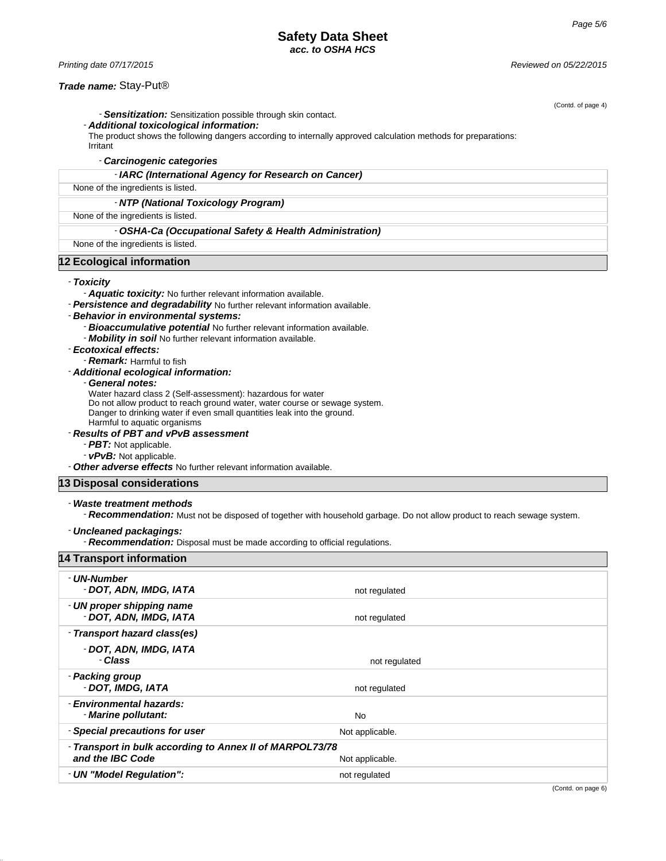# **Safety Data Sheet** *acc. to OSHA HCS*

### *Trade name:* Stay-Put®

- *Sensitization:* Sensitization possible through skin contact.

### - *Additional toxicological information:*

The product shows the following dangers according to internally approved calculation methods for preparations:

Irritant

### - *Carcinogenic categories*

- *IARC (International Agency for Research on Cancer)*

None of the ingredients is listed.

### - *NTP (National Toxicology Program)*

None of the ingredients is listed.

### - *OSHA-Ca (Occupational Safety & Health Administration)*

None of the ingredients is listed.

# **12 Ecological information**

### - *Toxicity*

- *Aquatic toxicity:* No further relevant information available.

- *Persistence and degradability* No further relevant information available.

### - *Behavior in environmental systems:*

- *Bioaccumulative potential* No further relevant information available.
- *Mobility in soil* No further relevant information available.
- *Ecotoxical effects:*
	- **Remark:** Harmful to fish

### - *Additional ecological information:*

- *General notes:*

Water hazard class 2 (Self-assessment): hazardous for water

Do not allow product to reach ground water, water course or sewage system.

Danger to drinking water if even small quantities leak into the ground.

Harmful to aquatic organisms

# - *Results of PBT and vPvB assessment*

- *PBT:* Not applicable.
- *vPvB:* Not applicable.
- *Other adverse effects* No further relevant information available.

# **13 Disposal considerations**

### - *Waste treatment methods*

- *Recommendation:* Must not be disposed of together with household garbage. Do not allow product to reach sewage system.

### - *Uncleaned packagings:*

- *Recommendation:* Disposal must be made according to official regulations.

| <b>14 Transport information</b>                                              |                 |  |
|------------------------------------------------------------------------------|-----------------|--|
| - UN-Number<br>- DOT, ADN, IMDG, IATA                                        | not regulated   |  |
| - UN proper shipping name<br>- DOT, ADN, IMDG, IATA                          | not regulated   |  |
| - Transport hazard class(es)                                                 |                 |  |
| - DOT, ADN, IMDG, IATA<br>- Class                                            | not regulated   |  |
| - Packing group<br>- DOT, IMDG, IATA                                         | not regulated   |  |
| - Environmental hazards:<br>- Marine pollutant:                              | No              |  |
| - Special precautions for user                                               | Not applicable. |  |
| - Transport in bulk according to Annex II of MARPOL73/78<br>and the IBC Code | Not applicable. |  |
| - UN "Model Regulation":                                                     | not regulated   |  |

(Contd. of page 4)